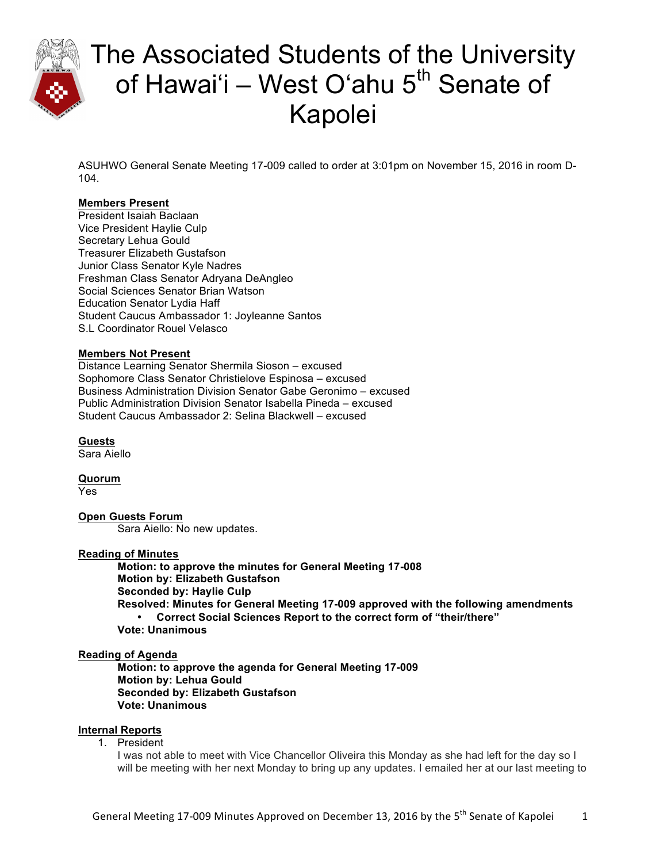

ASUHWO General Senate Meeting 17-009 called to order at 3:01pm on November 15, 2016 in room D-104.

### **Members Present**

President Isaiah Baclaan Vice President Haylie Culp Secretary Lehua Gould Treasurer Elizabeth Gustafson Junior Class Senator Kyle Nadres Freshman Class Senator Adryana DeAngleo Social Sciences Senator Brian Watson Education Senator Lydia Haff Student Caucus Ambassador 1: Joyleanne Santos S.L Coordinator Rouel Velasco

### **Members Not Present**

Distance Learning Senator Shermila Sioson – excused Sophomore Class Senator Christielove Espinosa – excused Business Administration Division Senator Gabe Geronimo – excused Public Administration Division Senator Isabella Pineda – excused Student Caucus Ambassador 2: Selina Blackwell – excused

**Guests** Sara Aiello

**Quorum** Yes

#### **Open Guests Forum**

Sara Aiello: No new updates.

#### **Reading of Minutes**

**Motion: to approve the minutes for General Meeting 17-008 Motion by: Elizabeth Gustafson Seconded by: Haylie Culp Resolved: Minutes for General Meeting 17-009 approved with the following amendments** • **Correct Social Sciences Report to the correct form of "their/there" Vote: Unanimous** 

#### **Reading of Agenda**

**Motion: to approve the agenda for General Meeting 17-009 Motion by: Lehua Gould Seconded by: Elizabeth Gustafson Vote: Unanimous**

### **Internal Reports**

1. President

I was not able to meet with Vice Chancellor Oliveira this Monday as she had left for the day so I will be meeting with her next Monday to bring up any updates. I emailed her at our last meeting to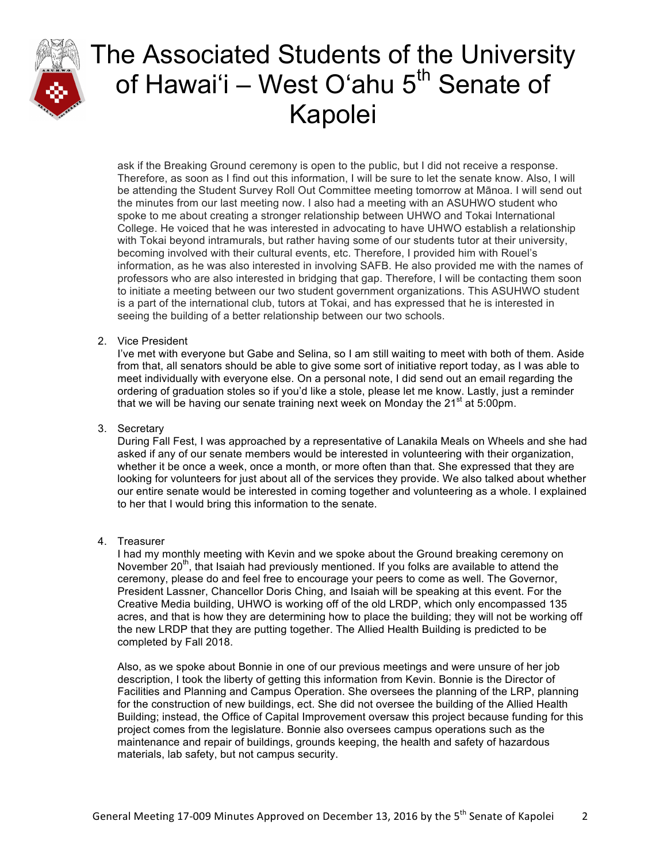

ask if the Breaking Ground ceremony is open to the public, but I did not receive a response. Therefore, as soon as I find out this information, I will be sure to let the senate know. Also, I will be attending the Student Survey Roll Out Committee meeting tomorrow at Mānoa. I will send out the minutes from our last meeting now. I also had a meeting with an ASUHWO student who spoke to me about creating a stronger relationship between UHWO and Tokai International College. He voiced that he was interested in advocating to have UHWO establish a relationship with Tokai beyond intramurals, but rather having some of our students tutor at their university, becoming involved with their cultural events, etc. Therefore, I provided him with Rouel's information, as he was also interested in involving SAFB. He also provided me with the names of professors who are also interested in bridging that gap. Therefore, I will be contacting them soon to initiate a meeting between our two student government organizations. This ASUHWO student is a part of the international club, tutors at Tokai, and has expressed that he is interested in seeing the building of a better relationship between our two schools.

### 2. Vice President

I've met with everyone but Gabe and Selina, so I am still waiting to meet with both of them. Aside from that, all senators should be able to give some sort of initiative report today, as I was able to meet individually with everyone else. On a personal note, I did send out an email regarding the ordering of graduation stoles so if you'd like a stole, please let me know. Lastly, just a reminder that we will be having our senate training next week on Monday the  $21<sup>st</sup>$  at 5:00pm.

### 3. Secretary

During Fall Fest, I was approached by a representative of Lanakila Meals on Wheels and she had asked if any of our senate members would be interested in volunteering with their organization, whether it be once a week, once a month, or more often than that. She expressed that they are looking for volunteers for just about all of the services they provide. We also talked about whether our entire senate would be interested in coming together and volunteering as a whole. I explained to her that I would bring this information to the senate.

### 4. Treasurer

I had my monthly meeting with Kevin and we spoke about the Ground breaking ceremony on November 20<sup>th</sup>, that Isaiah had previously mentioned. If you folks are available to attend the ceremony, please do and feel free to encourage your peers to come as well. The Governor, President Lassner, Chancellor Doris Ching, and Isaiah will be speaking at this event. For the Creative Media building, UHWO is working off of the old LRDP, which only encompassed 135 acres, and that is how they are determining how to place the building; they will not be working off the new LRDP that they are putting together. The Allied Health Building is predicted to be completed by Fall 2018.

Also, as we spoke about Bonnie in one of our previous meetings and were unsure of her job description, I took the liberty of getting this information from Kevin. Bonnie is the Director of Facilities and Planning and Campus Operation. She oversees the planning of the LRP, planning for the construction of new buildings, ect. She did not oversee the building of the Allied Health Building; instead, the Office of Capital Improvement oversaw this project because funding for this project comes from the legislature. Bonnie also oversees campus operations such as the maintenance and repair of buildings, grounds keeping, the health and safety of hazardous materials, lab safety, but not campus security.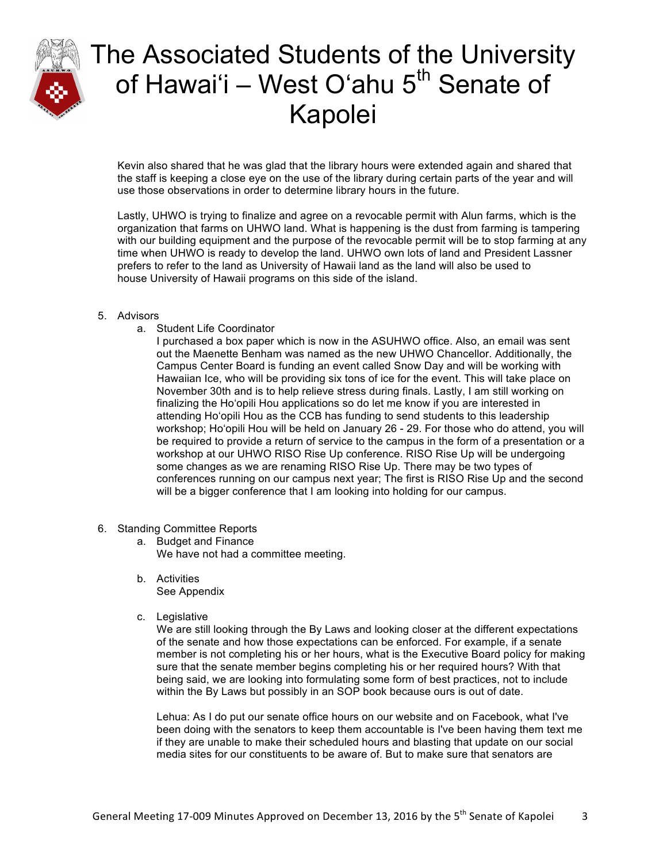

Kevin also shared that he was glad that the library hours were extended again and shared that the staff is keeping a close eye on the use of the library during certain parts of the year and will use those observations in order to determine library hours in the future.

Lastly, UHWO is trying to finalize and agree on a revocable permit with Alun farms, which is the organization that farms on UHWO land. What is happening is the dust from farming is tampering with our building equipment and the purpose of the revocable permit will be to stop farming at any time when UHWO is ready to develop the land. UHWO own lots of land and President Lassner prefers to refer to the land as University of Hawaii land as the land will also be used to house University of Hawaii programs on this side of the island.

### 5. Advisors

a. Student Life Coordinator

I purchased a box paper which is now in the ASUHWO office. Also, an email was sent out the Maenette Benham was named as the new UHWO Chancellor. Additionally, the Campus Center Board is funding an event called Snow Day and will be working with Hawaiian Ice, who will be providing six tons of ice for the event. This will take place on November 30th and is to help relieve stress during finals. Lastly, I am still working on finalizing the Hoʻopili Hou applications so do let me know if you are interested in attending Hoʻopili Hou as the CCB has funding to send students to this leadership workshop; Hoʻopili Hou will be held on January 26 - 29. For those who do attend, you will be required to provide a return of service to the campus in the form of a presentation or a workshop at our UHWO RISO Rise Up conference. RISO Rise Up will be undergoing some changes as we are renaming RISO Rise Up. There may be two types of conferences running on our campus next year; The first is RISO Rise Up and the second will be a bigger conference that I am looking into holding for our campus.

- 6. Standing Committee Reports
	- a. Budget and Finance We have not had a committee meeting.
	- b. Activities See Appendix
	- c. Legislative

We are still looking through the By Laws and looking closer at the different expectations of the senate and how those expectations can be enforced. For example, if a senate member is not completing his or her hours, what is the Executive Board policy for making sure that the senate member begins completing his or her required hours? With that being said, we are looking into formulating some form of best practices, not to include within the By Laws but possibly in an SOP book because ours is out of date.

Lehua: As I do put our senate office hours on our website and on Facebook, what I've been doing with the senators to keep them accountable is I've been having them text me if they are unable to make their scheduled hours and blasting that update on our social media sites for our constituents to be aware of. But to make sure that senators are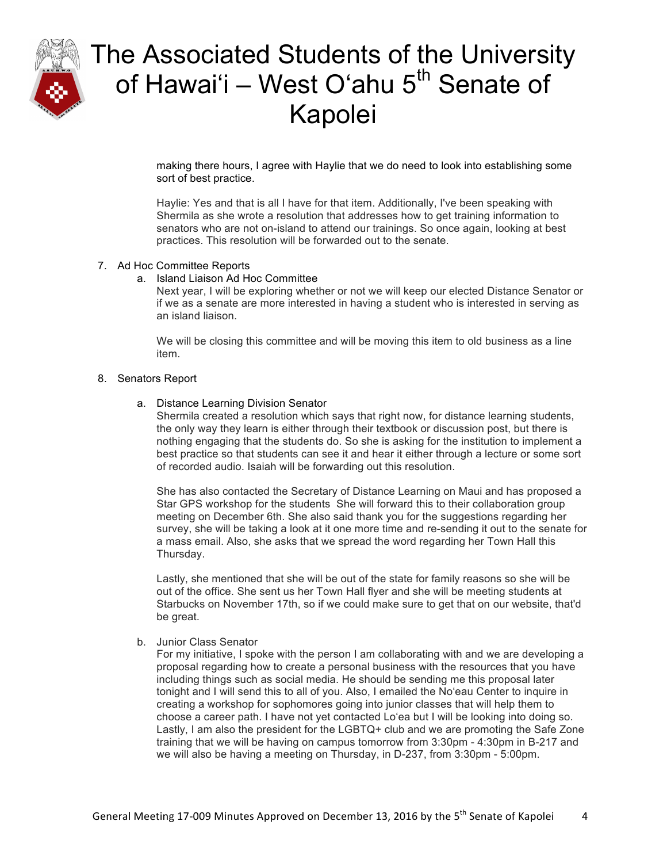

making there hours, I agree with Haylie that we do need to look into establishing some sort of best practice.

Haylie: Yes and that is all I have for that item. Additionally, I've been speaking with Shermila as she wrote a resolution that addresses how to get training information to senators who are not on-island to attend our trainings. So once again, looking at best practices. This resolution will be forwarded out to the senate.

### 7. Ad Hoc Committee Reports

### a. Island Liaison Ad Hoc Committee

Next year, I will be exploring whether or not we will keep our elected Distance Senator or if we as a senate are more interested in having a student who is interested in serving as an island liaison.

We will be closing this committee and will be moving this item to old business as a line item.

### 8. Senators Report

### a. Distance Learning Division Senator

Shermila created a resolution which says that right now, for distance learning students, the only way they learn is either through their textbook or discussion post, but there is nothing engaging that the students do. So she is asking for the institution to implement a best practice so that students can see it and hear it either through a lecture or some sort of recorded audio. Isaiah will be forwarding out this resolution.

She has also contacted the Secretary of Distance Learning on Maui and has proposed a Star GPS workshop for the students She will forward this to their collaboration group meeting on December 6th. She also said thank you for the suggestions regarding her survey, she will be taking a look at it one more time and re-sending it out to the senate for a mass email. Also, she asks that we spread the word regarding her Town Hall this Thursday.

Lastly, she mentioned that she will be out of the state for family reasons so she will be out of the office. She sent us her Town Hall flyer and she will be meeting students at Starbucks on November 17th, so if we could make sure to get that on our website, that'd be great.

#### b. Junior Class Senator

For my initiative, I spoke with the person I am collaborating with and we are developing a proposal regarding how to create a personal business with the resources that you have including things such as social media. He should be sending me this proposal later tonight and I will send this to all of you. Also, I emailed the Noʻeau Center to inquire in creating a workshop for sophomores going into junior classes that will help them to choose a career path. I have not yet contacted Loʻea but I will be looking into doing so. Lastly, I am also the president for the LGBTQ+ club and we are promoting the Safe Zone training that we will be having on campus tomorrow from 3:30pm - 4:30pm in B-217 and we will also be having a meeting on Thursday, in D-237, from 3:30pm - 5:00pm.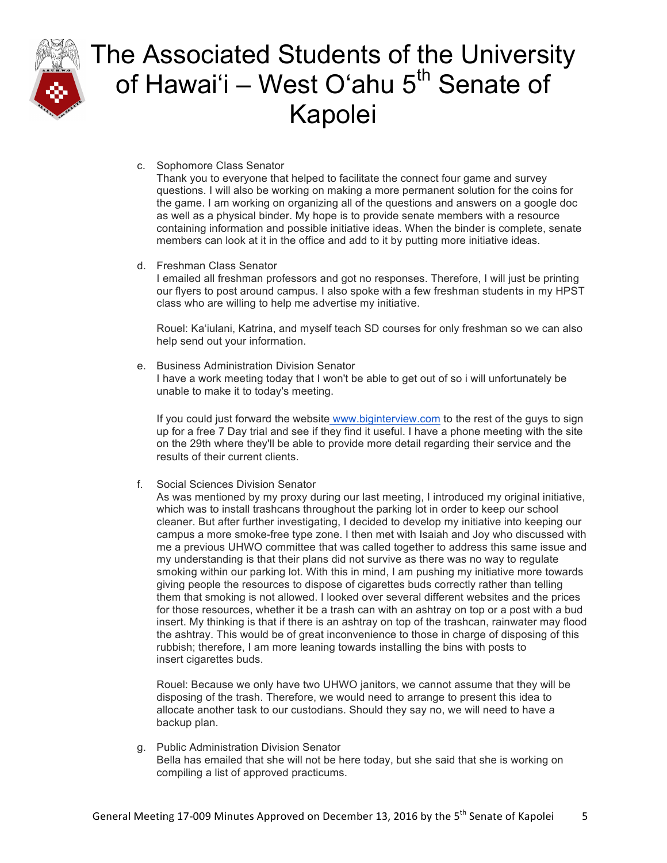

c. Sophomore Class Senator

Thank you to everyone that helped to facilitate the connect four game and survey questions. I will also be working on making a more permanent solution for the coins for the game. I am working on organizing all of the questions and answers on a google doc as well as a physical binder. My hope is to provide senate members with a resource containing information and possible initiative ideas. When the binder is complete, senate members can look at it in the office and add to it by putting more initiative ideas.

d. Freshman Class Senator

I emailed all freshman professors and got no responses. Therefore, I will just be printing our flyers to post around campus. I also spoke with a few freshman students in my HPST class who are willing to help me advertise my initiative.

Rouel: Kaʻiulani, Katrina, and myself teach SD courses for only freshman so we can also help send out your information.

e. Business Administration Division Senator I have a work meeting today that I won't be able to get out of so i will unfortunately be unable to make it to today's meeting.

If you could just forward the website www.biginterview.com to the rest of the guys to sign up for a free 7 Day trial and see if they find it useful. I have a phone meeting with the site on the 29th where they'll be able to provide more detail regarding their service and the results of their current clients.

f. Social Sciences Division Senator

As was mentioned by my proxy during our last meeting, I introduced my original initiative, which was to install trashcans throughout the parking lot in order to keep our school cleaner. But after further investigating, I decided to develop my initiative into keeping our campus a more smoke-free type zone. I then met with Isaiah and Joy who discussed with me a previous UHWO committee that was called together to address this same issue and my understanding is that their plans did not survive as there was no way to regulate smoking within our parking lot. With this in mind, I am pushing my initiative more towards giving people the resources to dispose of cigarettes buds correctly rather than telling them that smoking is not allowed. I looked over several different websites and the prices for those resources, whether it be a trash can with an ashtray on top or a post with a bud insert. My thinking is that if there is an ashtray on top of the trashcan, rainwater may flood the ashtray. This would be of great inconvenience to those in charge of disposing of this rubbish; therefore, I am more leaning towards installing the bins with posts to insert cigarettes buds.

Rouel: Because we only have two UHWO janitors, we cannot assume that they will be disposing of the trash. Therefore, we would need to arrange to present this idea to allocate another task to our custodians. Should they say no, we will need to have a backup plan.

g. Public Administration Division Senator Bella has emailed that she will not be here today, but she said that she is working on compiling a list of approved practicums.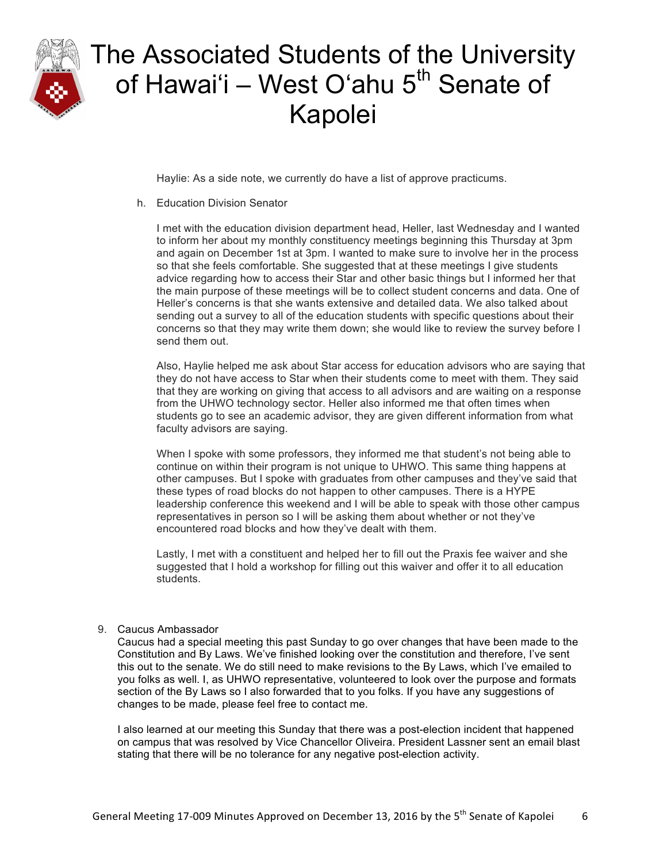

Haylie: As a side note, we currently do have a list of approve practicums.

h. Education Division Senator

I met with the education division department head, Heller, last Wednesday and I wanted to inform her about my monthly constituency meetings beginning this Thursday at 3pm and again on December 1st at 3pm. I wanted to make sure to involve her in the process so that she feels comfortable. She suggested that at these meetings I give students advice regarding how to access their Star and other basic things but I informed her that the main purpose of these meetings will be to collect student concerns and data. One of Heller's concerns is that she wants extensive and detailed data. We also talked about sending out a survey to all of the education students with specific questions about their concerns so that they may write them down; she would like to review the survey before I send them out.

Also, Haylie helped me ask about Star access for education advisors who are saying that they do not have access to Star when their students come to meet with them. They said that they are working on giving that access to all advisors and are waiting on a response from the UHWO technology sector. Heller also informed me that often times when students go to see an academic advisor, they are given different information from what faculty advisors are saying.

When I spoke with some professors, they informed me that student's not being able to continue on within their program is not unique to UHWO. This same thing happens at other campuses. But I spoke with graduates from other campuses and they've said that these types of road blocks do not happen to other campuses. There is a HYPE leadership conference this weekend and I will be able to speak with those other campus representatives in person so I will be asking them about whether or not they've encountered road blocks and how they've dealt with them.

Lastly, I met with a constituent and helped her to fill out the Praxis fee waiver and she suggested that I hold a workshop for filling out this waiver and offer it to all education students.

#### 9. Caucus Ambassador

Caucus had a special meeting this past Sunday to go over changes that have been made to the Constitution and By Laws. We've finished looking over the constitution and therefore, I've sent this out to the senate. We do still need to make revisions to the By Laws, which I've emailed to you folks as well. I, as UHWO representative, volunteered to look over the purpose and formats section of the By Laws so I also forwarded that to you folks. If you have any suggestions of changes to be made, please feel free to contact me.

I also learned at our meeting this Sunday that there was a post-election incident that happened on campus that was resolved by Vice Chancellor Oliveira. President Lassner sent an email blast stating that there will be no tolerance for any negative post-election activity.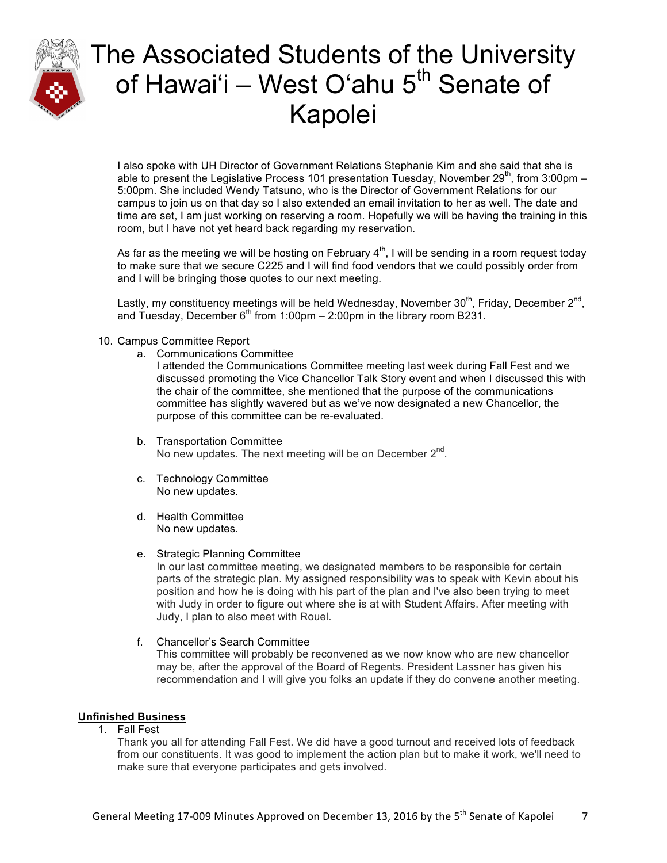

I also spoke with UH Director of Government Relations Stephanie Kim and she said that she is able to present the Legislative Process 101 presentation Tuesday, November 29<sup>th</sup>, from 3:00pm – 5:00pm. She included Wendy Tatsuno, who is the Director of Government Relations for our campus to join us on that day so I also extended an email invitation to her as well. The date and time are set, I am just working on reserving a room. Hopefully we will be having the training in this room, but I have not yet heard back regarding my reservation.

As far as the meeting we will be hosting on February  $4<sup>th</sup>$ , I will be sending in a room request today to make sure that we secure C225 and I will find food vendors that we could possibly order from and I will be bringing those quotes to our next meeting.

Lastly, my constituency meetings will be held Wednesday, November  $30<sup>th</sup>$ , Friday, December  $2<sup>nd</sup>$ , and Tuesday, December  $6<sup>th</sup>$  from 1:00pm – 2:00pm in the library room B231.

- 10. Campus Committee Report
	- a. Communications Committee

I attended the Communications Committee meeting last week during Fall Fest and we discussed promoting the Vice Chancellor Talk Story event and when I discussed this with the chair of the committee, she mentioned that the purpose of the communications committee has slightly wavered but as we've now designated a new Chancellor, the purpose of this committee can be re-evaluated.

- b. Transportation Committee No new updates. The next meeting will be on December  $2^{nd}$ .
- c. Technology Committee No new updates.
- d. Health Committee No new updates.
- e. Strategic Planning Committee

In our last committee meeting, we designated members to be responsible for certain parts of the strategic plan. My assigned responsibility was to speak with Kevin about his position and how he is doing with his part of the plan and I've also been trying to meet with Judy in order to figure out where she is at with Student Affairs. After meeting with Judy, I plan to also meet with Rouel.

f. Chancellor's Search Committee This committee will probably be reconvened as we now know who are new chancellor may be, after the approval of the Board of Regents. President Lassner has given his recommendation and I will give you folks an update if they do convene another meeting.

#### **Unfinished Business**

1. Fall Fest

Thank you all for attending Fall Fest. We did have a good turnout and received lots of feedback from our constituents. It was good to implement the action plan but to make it work, we'll need to make sure that everyone participates and gets involved.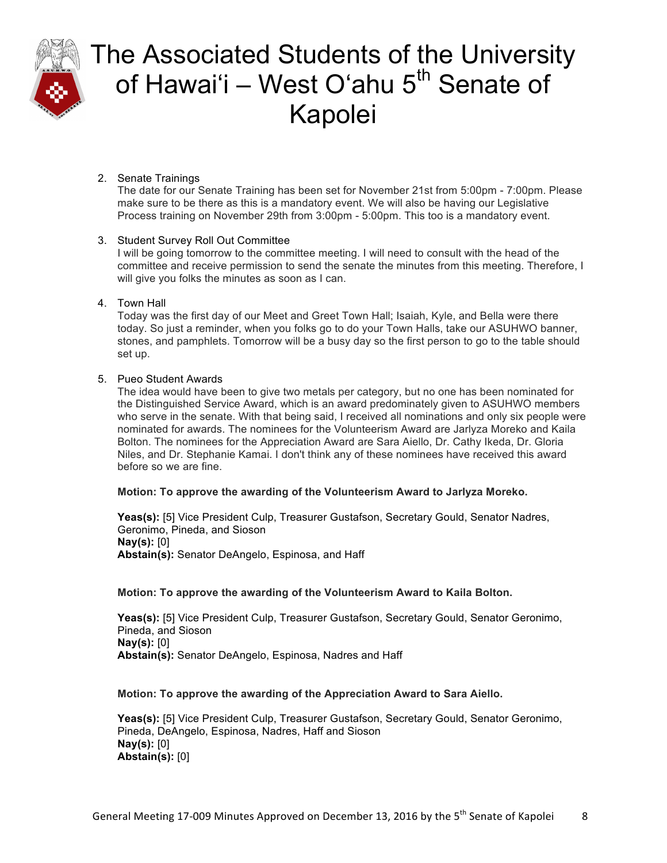

### 2. Senate Trainings

The date for our Senate Training has been set for November 21st from 5:00pm - 7:00pm. Please make sure to be there as this is a mandatory event. We will also be having our Legislative Process training on November 29th from 3:00pm - 5:00pm. This too is a mandatory event.

### 3. Student Survey Roll Out Committee

I will be going tomorrow to the committee meeting. I will need to consult with the head of the committee and receive permission to send the senate the minutes from this meeting. Therefore, I will give you folks the minutes as soon as I can.

### 4. Town Hall

Today was the first day of our Meet and Greet Town Hall; Isaiah, Kyle, and Bella were there today. So just a reminder, when you folks go to do your Town Halls, take our ASUHWO banner, stones, and pamphlets. Tomorrow will be a busy day so the first person to go to the table should set up.

### 5. Pueo Student Awards

The idea would have been to give two metals per category, but no one has been nominated for the Distinguished Service Award, which is an award predominately given to ASUHWO members who serve in the senate. With that being said, I received all nominations and only six people were nominated for awards. The nominees for the Volunteerism Award are Jarlyza Moreko and Kaila Bolton. The nominees for the Appreciation Award are Sara Aiello, Dr. Cathy Ikeda, Dr. Gloria Niles, and Dr. Stephanie Kamai. I don't think any of these nominees have received this award before so we are fine.

### **Motion: To approve the awarding of the Volunteerism Award to Jarlyza Moreko.**

**Yeas(s):** [5] Vice President Culp, Treasurer Gustafson, Secretary Gould, Senator Nadres, Geronimo, Pineda, and Sioson **Nay(s):** [0] **Abstain(s):** Senator DeAngelo, Espinosa, and Haff

#### **Motion: To approve the awarding of the Volunteerism Award to Kaila Bolton.**

**Yeas(s):** [5] Vice President Culp, Treasurer Gustafson, Secretary Gould, Senator Geronimo, Pineda, and Sioson **Nay(s):** [0] **Abstain(s):** Senator DeAngelo, Espinosa, Nadres and Haff

#### **Motion: To approve the awarding of the Appreciation Award to Sara Aiello.**

**Yeas(s):** [5] Vice President Culp, Treasurer Gustafson, Secretary Gould, Senator Geronimo, Pineda, DeAngelo, Espinosa, Nadres, Haff and Sioson **Nay(s):** [0] **Abstain(s):** [0]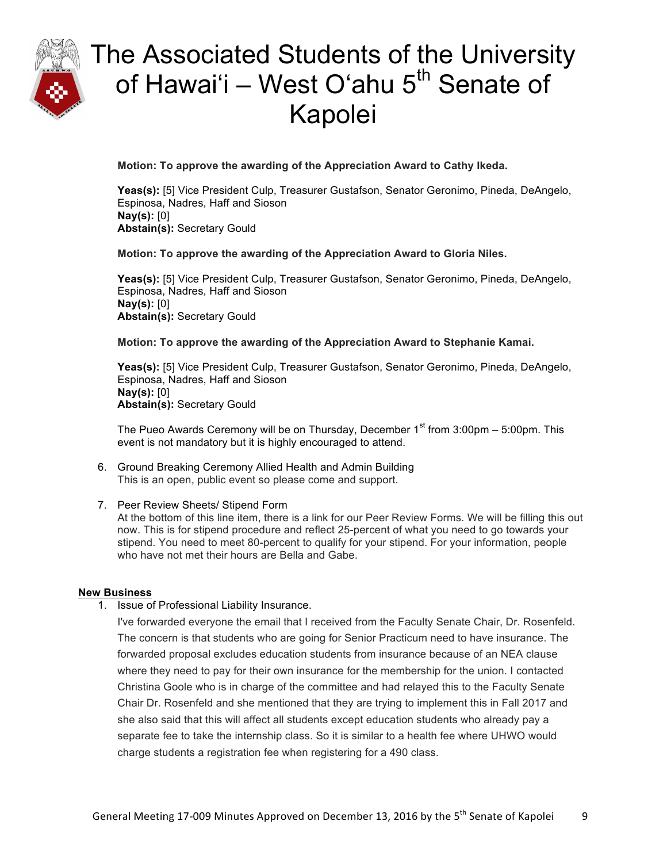

**Motion: To approve the awarding of the Appreciation Award to Cathy Ikeda.**

**Yeas(s):** [5] Vice President Culp, Treasurer Gustafson, Senator Geronimo, Pineda, DeAngelo, Espinosa, Nadres, Haff and Sioson **Nay(s):** [0] **Abstain(s):** Secretary Gould

### **Motion: To approve the awarding of the Appreciation Award to Gloria Niles.**

**Yeas(s):** [5] Vice President Culp, Treasurer Gustafson, Senator Geronimo, Pineda, DeAngelo, Espinosa, Nadres, Haff and Sioson **Nay(s):** [0] **Abstain(s):** Secretary Gould

### **Motion: To approve the awarding of the Appreciation Award to Stephanie Kamai.**

**Yeas(s):** [5] Vice President Culp, Treasurer Gustafson, Senator Geronimo, Pineda, DeAngelo, Espinosa, Nadres, Haff and Sioson **Nay(s):** [0] **Abstain(s):** Secretary Gould

The Pueo Awards Ceremony will be on Thursday, December  $1<sup>st</sup>$  from 3:00pm – 5:00pm. This event is not mandatory but it is highly encouraged to attend.

6. Ground Breaking Ceremony Allied Health and Admin Building This is an open, public event so please come and support.

### 7. Peer Review Sheets/ Stipend Form

At the bottom of this line item, there is a link for our Peer Review Forms. We will be filling this out now. This is for stipend procedure and reflect 25-percent of what you need to go towards your stipend. You need to meet 80-percent to qualify for your stipend. For your information, people who have not met their hours are Bella and Gabe.

### **New Business**

1. Issue of Professional Liability Insurance.

I've forwarded everyone the email that I received from the Faculty Senate Chair, Dr. Rosenfeld. The concern is that students who are going for Senior Practicum need to have insurance. The forwarded proposal excludes education students from insurance because of an NEA clause where they need to pay for their own insurance for the membership for the union. I contacted Christina Goole who is in charge of the committee and had relayed this to the Faculty Senate Chair Dr. Rosenfeld and she mentioned that they are trying to implement this in Fall 2017 and she also said that this will affect all students except education students who already pay a separate fee to take the internship class. So it is similar to a health fee where UHWO would charge students a registration fee when registering for a 490 class.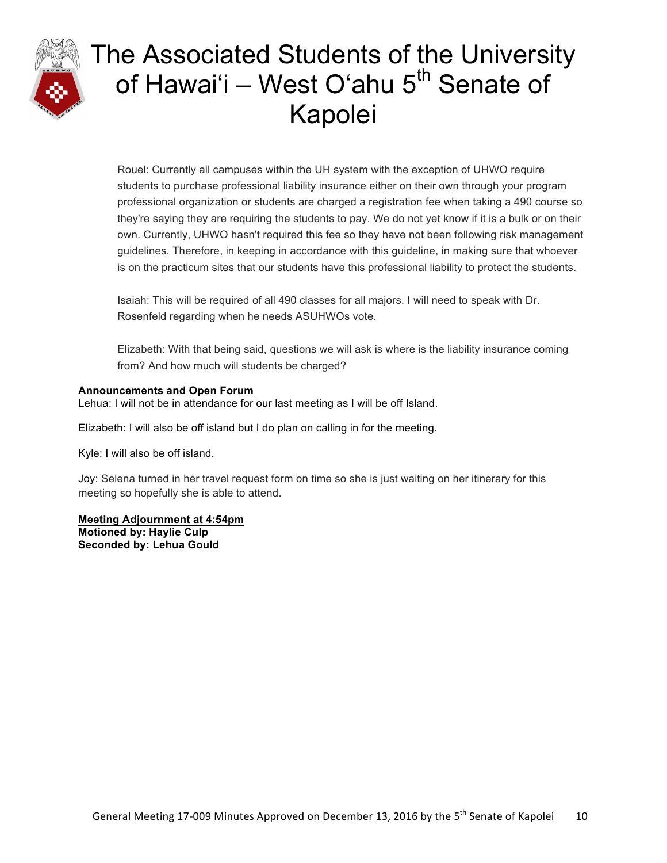

Rouel: Currently all campuses within the UH system with the exception of UHWO require students to purchase professional liability insurance either on their own through your program professional organization or students are charged a registration fee when taking a 490 course so they're saying they are requiring the students to pay. We do not yet know if it is a bulk or on their own. Currently, UHWO hasn't required this fee so they have not been following risk management guidelines. Therefore, in keeping in accordance with this guideline, in making sure that whoever is on the practicum sites that our students have this professional liability to protect the students.

Isaiah: This will be required of all 490 classes for all majors. I will need to speak with Dr. Rosenfeld regarding when he needs ASUHWOs vote.

Elizabeth: With that being said, questions we will ask is where is the liability insurance coming from? And how much will students be charged?

### **Announcements and Open Forum**

Lehua: I will not be in attendance for our last meeting as I will be off Island.

Elizabeth: I will also be off island but I do plan on calling in for the meeting.

Kyle: I will also be off island.

Joy: Selena turned in her travel request form on time so she is just waiting on her itinerary for this meeting so hopefully she is able to attend.

**Meeting Adjournment at 4:54pm Motioned by: Haylie Culp Seconded by: Lehua Gould**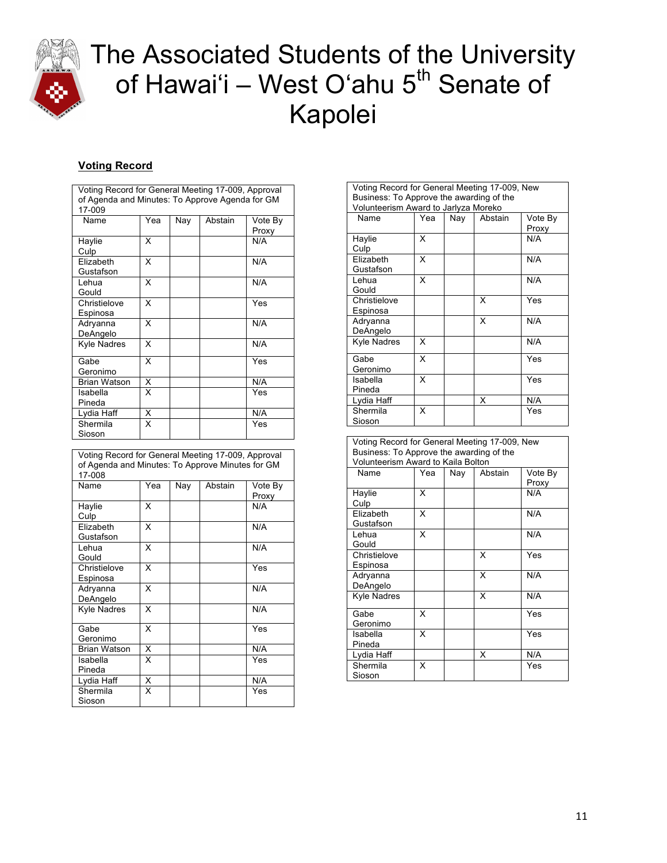

### **Voting Record**

| Voting Record for General Meeting 17-009, Approval<br>of Agenda and Minutes: To Approve Agenda for GM<br>17-009 |     |     |         |                  |  |
|-----------------------------------------------------------------------------------------------------------------|-----|-----|---------|------------------|--|
| <b>Name</b>                                                                                                     | Yea | Nay | Abstain | Vote By<br>Proxy |  |
| Haylie<br>Culp                                                                                                  | X   |     |         | N/A              |  |
| Elizabeth<br>Gustafson                                                                                          | X   |     |         | N/A              |  |
| Lehua<br>Gould                                                                                                  | x   |     |         | N/A              |  |
| Christielove<br>Espinosa                                                                                        | x   |     |         | Yes              |  |
| Adryanna<br>DeAngelo                                                                                            | x   |     |         | N/A              |  |
| Kyle Nadres                                                                                                     | x   |     |         | N/A              |  |
| Gabe<br>Geronimo                                                                                                | X   |     |         | Yes              |  |
| <b>Brian Watson</b>                                                                                             | X   |     |         | N/A              |  |
| Isabella<br>Pineda                                                                                              | x   |     |         | Yes              |  |
| Lydia Haff                                                                                                      | X   |     |         | N/A              |  |
| Shermila<br>Sioson                                                                                              | x   |     |         | Yes              |  |

| Voting Record for General Meeting 17-009, Approval<br>of Agenda and Minutes: To Approve Minutes for GM<br>17-008 |     |     |         |                  |
|------------------------------------------------------------------------------------------------------------------|-----|-----|---------|------------------|
| Name                                                                                                             | Yea | Nay | Abstain | Vote By<br>Proxy |
| Haylie<br>Culp                                                                                                   | x   |     |         | N/A              |
| Elizabeth<br>Gustafson                                                                                           | X   |     |         | N/A              |
| Lehua<br>Gould                                                                                                   | X   |     |         | N/A              |
| Christielove<br>Espinosa                                                                                         | x   |     |         | Yes              |
| Adryanna<br>DeAngelo                                                                                             | X   |     |         | N/A              |
| <b>Kyle Nadres</b>                                                                                               | X   |     |         | N/A              |
| Gabe<br>Geronimo                                                                                                 | x   |     |         | Yes              |
| <b>Brian Watson</b>                                                                                              | X   |     |         | N/A              |
| Isabella<br>Pineda                                                                                               | x   |     |         | Yes              |
| Lydia Haff                                                                                                       | X   |     |         | N/A              |
| Shermila<br>Sioson                                                                                               | x   |     |         | Yes              |

| Voting Record for General Meeting 17-009, New |     |     |         |         |  |
|-----------------------------------------------|-----|-----|---------|---------|--|
| Business: To Approve the awarding of the      |     |     |         |         |  |
| Volunteerism Award to Jarlyza Moreko          |     |     |         |         |  |
| Name                                          | Yea | Nay | Abstain | Vote By |  |
|                                               |     |     |         | Proxy   |  |
| Haylie                                        | x   |     |         | N/A     |  |
| Culp                                          |     |     |         |         |  |
| Elizabeth                                     | x   |     |         | N/A     |  |
| Gustafson                                     |     |     |         |         |  |
| Lehua                                         | x   |     |         | N/A     |  |
| Gould                                         |     |     |         |         |  |
| Christielove                                  |     |     | X       | Yes     |  |
| Espinosa                                      |     |     |         |         |  |
| Adryanna                                      |     |     | X       | N/A     |  |
| DeAngelo                                      |     |     |         |         |  |
| <b>Kyle Nadres</b>                            | X   |     |         | N/A     |  |
|                                               |     |     |         |         |  |
| Gabe                                          | X   |     |         | Yes     |  |
| Geronimo                                      |     |     |         |         |  |
| Isabella                                      | x   |     |         | Yes     |  |
| Pineda                                        |     |     |         |         |  |
| Lydia Haff                                    |     |     | X       | N/A     |  |
| Shermila                                      | x   |     |         | Yes     |  |
| Sioson                                        |     |     |         |         |  |

| Voting Record for General Meeting 17-009, New |
|-----------------------------------------------|
| Business: To Approve the awarding of the      |
| Volunteerism Award to Kaila Bolton            |

| Name                     | Yea | Nay | Abstain | Vote By<br>Proxy |
|--------------------------|-----|-----|---------|------------------|
| Haylie<br>Culp           | x   |     |         | N/A              |
| Elizabeth<br>Gustafson   | x   |     |         | N/A              |
| Lehua<br>Gould           | X   |     |         | N/A              |
| Christielove<br>Espinosa |     |     | X       | Yes              |
| Adryanna<br>DeAngelo     |     |     | X       | N/A              |
| <b>Kyle Nadres</b>       |     |     | X       | N/A              |
| Gabe<br>Geronimo         | x   |     |         | Yes              |
| Isabella<br>Pineda       | x   |     |         | Yes              |
| Lydia Haff               |     |     | X       | N/A              |
| Shermila<br>Sioson       | x   |     |         | Yes              |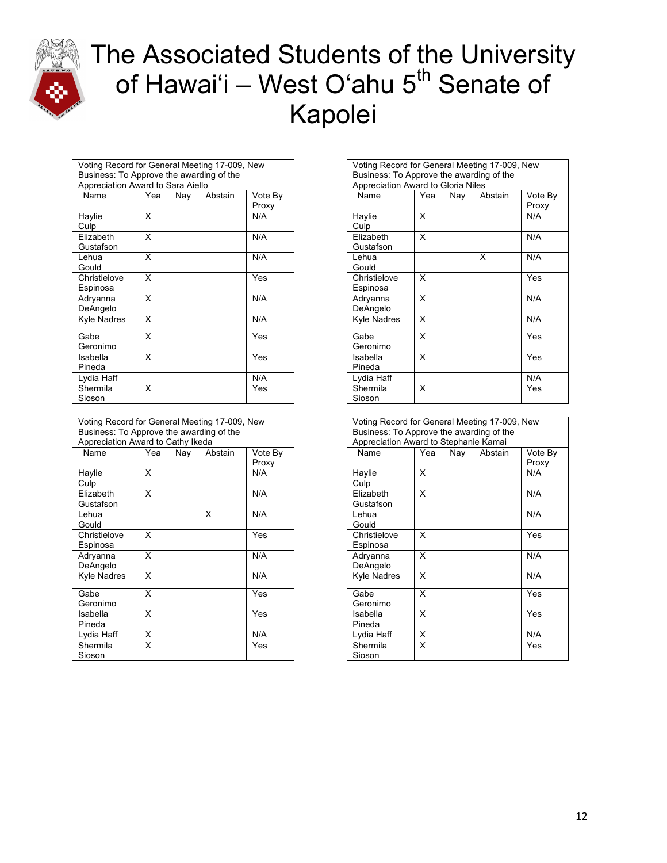

| Voting Record for General Meeting 17-009, New |     |     |         |         |  |  |
|-----------------------------------------------|-----|-----|---------|---------|--|--|
| Business: To Approve the awarding of the      |     |     |         |         |  |  |
| Appreciation Award to Sara Aiello             |     |     |         |         |  |  |
| Name                                          | Yea | Nay | Abstain | Vote By |  |  |
|                                               |     |     |         | Proxy   |  |  |
| Haylie                                        | x   |     |         | N/A     |  |  |
| Culp                                          |     |     |         |         |  |  |
| Elizabeth                                     | X   |     |         | N/A     |  |  |
| Gustafson                                     |     |     |         |         |  |  |
| Lehua                                         | x   |     |         | N/A     |  |  |
| Gould                                         |     |     |         |         |  |  |
| Christielove                                  | x   |     |         | Yes     |  |  |
| Espinosa                                      |     |     |         |         |  |  |
| Adryanna                                      | X   |     |         | N/A     |  |  |
| DeAngelo                                      |     |     |         |         |  |  |
| <b>Kyle Nadres</b>                            | x   |     |         | N/A     |  |  |
|                                               |     |     |         |         |  |  |
| Gabe                                          | x   |     |         | Yes     |  |  |
| Geronimo                                      |     |     |         |         |  |  |
| Isabella                                      | X   |     |         | Yes     |  |  |
| Pineda                                        |     |     |         |         |  |  |
| Lydia Haff                                    |     |     |         | N/A     |  |  |
| Shermila                                      | x   |     |         | Yes     |  |  |
| Sioson                                        |     |     |         |         |  |  |

| Voting Record for General Meeting 17-009, New |     |     |         |         |  |
|-----------------------------------------------|-----|-----|---------|---------|--|
| Business: To Approve the awarding of the      |     |     |         |         |  |
| Appreciation Award to Cathy Ikeda             |     |     |         |         |  |
| Name                                          | Yea | Nay | Abstain | Vote By |  |
|                                               |     |     |         | Proxy   |  |
| Haylie                                        | x   |     |         | N/A     |  |
| Culp                                          |     |     |         |         |  |
| Elizabeth                                     | x   |     |         | N/A     |  |
| Gustafson                                     |     |     |         |         |  |
| Lehua                                         |     |     | X       | N/A     |  |
| Gould                                         |     |     |         |         |  |
| Christielove                                  | x   |     |         | Yes     |  |
| Espinosa                                      |     |     |         |         |  |
| Adryanna                                      | X   |     |         | N/A     |  |
| DeAngelo                                      |     |     |         |         |  |
| Kyle Nadres                                   | X   |     |         | N/A     |  |
|                                               |     |     |         |         |  |
| Gabe                                          | x   |     |         | Yes     |  |
| Geronimo                                      |     |     |         |         |  |
| Isabella                                      | X   |     |         | Yes     |  |
| Pineda                                        |     |     |         |         |  |
| Lydia Haff                                    | X   |     |         | N/A     |  |
| Shermila                                      | x   |     |         | Yes     |  |
| Sioson                                        |     |     |         |         |  |

| Voting Record for General Meeting 17-009, New |
|-----------------------------------------------|
| Business: To Approve the awarding of the      |
| Appreciation Award to Gloria Niles            |

| Name               | Yea | Nay | Abstain | Vote By |
|--------------------|-----|-----|---------|---------|
|                    |     |     |         | Proxy   |
| Haylie             | X   |     |         | N/A     |
| Culp               |     |     |         |         |
| Elizabeth          | X   |     |         | N/A     |
| Gustafson          |     |     |         |         |
| Lehua              |     |     | x       | N/A     |
| Gould              |     |     |         |         |
| Christielove       | x   |     |         | Yes     |
| Espinosa           |     |     |         |         |
| Adryanna           | x   |     |         | N/A     |
| DeAngelo           |     |     |         |         |
| <b>Kyle Nadres</b> | x   |     |         | N/A     |
|                    |     |     |         |         |
| Gabe               | x   |     |         | Yes     |
| Geronimo           |     |     |         |         |
| Isabella           | X   |     |         | Yes     |
| Pineda             |     |     |         |         |
| Lydia Haff         |     |     |         | N/A     |
| Shermila           | x   |     |         | Yes     |
| Sioson             |     |     |         |         |
|                    |     |     |         |         |

| Voting Record for General Meeting 17-009, New |                                                                                   |     |         |                  |  |  |
|-----------------------------------------------|-----------------------------------------------------------------------------------|-----|---------|------------------|--|--|
|                                               | Business: To Approve the awarding of the<br>Appreciation Award to Stephanie Kamai |     |         |                  |  |  |
| Name                                          | Yea                                                                               | Nav | Abstain | Vote By<br>Proxy |  |  |
| Haylie<br>Culp                                | x                                                                                 |     |         | N/A              |  |  |
| Elizabeth<br>Gustafson                        | X                                                                                 |     |         | N/A              |  |  |
| Lehua<br>Gould                                |                                                                                   |     |         | N/A              |  |  |
| Christielove<br>Espinosa                      | x                                                                                 |     |         | Yes              |  |  |
| Adryanna<br>DeAngelo                          | X                                                                                 |     |         | N/A              |  |  |
| <b>Kyle Nadres</b>                            | x                                                                                 |     |         | N/A              |  |  |
| Gabe<br>Geronimo                              | X                                                                                 |     |         | Yes              |  |  |
| Isabella<br>Pineda                            | X                                                                                 |     |         | Yes              |  |  |
| Lydia Haff                                    | X                                                                                 |     |         | N/A              |  |  |
| Shermila<br>Sioson                            | x                                                                                 |     |         | Yes              |  |  |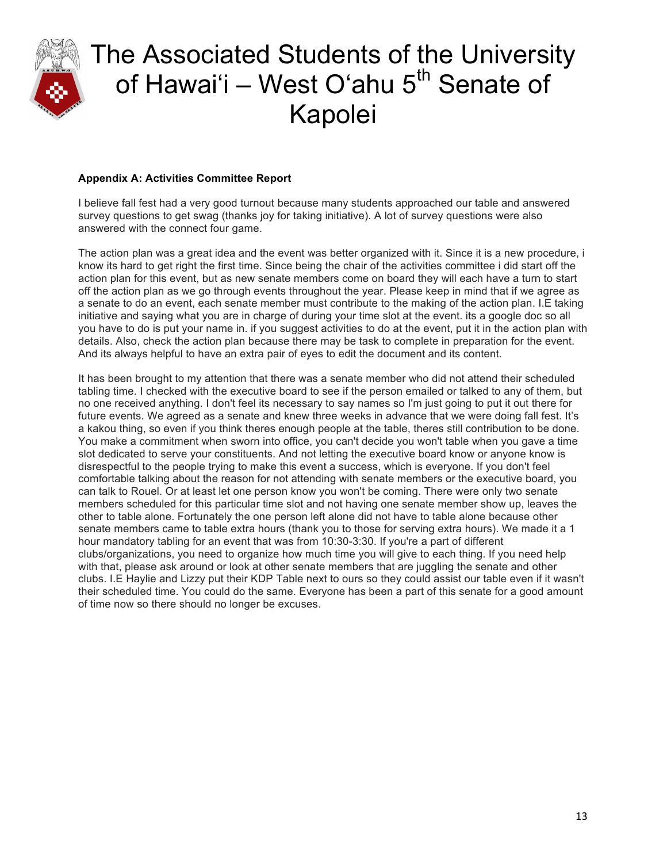

### **Appendix A: Activities Committee Report**

I believe fall fest had a very good turnout because many students approached our table and answered survey questions to get swag (thanks joy for taking initiative). A lot of survey questions were also answered with the connect four game.

The action plan was a great idea and the event was better organized with it. Since it is a new procedure, i know its hard to get right the first time. Since being the chair of the activities committee i did start off the action plan for this event, but as new senate members come on board they will each have a turn to start off the action plan as we go through events throughout the year. Please keep in mind that if we agree as a senate to do an event, each senate member must contribute to the making of the action plan. I.E taking initiative and saying what you are in charge of during your time slot at the event. its a google doc so all you have to do is put your name in. if you suggest activities to do at the event, put it in the action plan with details. Also, check the action plan because there may be task to complete in preparation for the event. And its always helpful to have an extra pair of eyes to edit the document and its content.

It has been brought to my attention that there was a senate member who did not attend their scheduled tabling time. I checked with the executive board to see if the person emailed or talked to any of them, but no one received anything. I don't feel its necessary to say names so I'm just going to put it out there for future events. We agreed as a senate and knew three weeks in advance that we were doing fall fest. It's a kakou thing, so even if you think theres enough people at the table, theres still contribution to be done. You make a commitment when sworn into office, you can't decide you won't table when you gave a time slot dedicated to serve your constituents. And not letting the executive board know or anyone know is disrespectful to the people trying to make this event a success, which is everyone. If you don't feel comfortable talking about the reason for not attending with senate members or the executive board, you can talk to Rouel. Or at least let one person know you won't be coming. There were only two senate members scheduled for this particular time slot and not having one senate member show up, leaves the other to table alone. Fortunately the one person left alone did not have to table alone because other senate members came to table extra hours (thank you to those for serving extra hours). We made it a 1 hour mandatory tabling for an event that was from 10:30-3:30. If you're a part of different clubs/organizations, you need to organize how much time you will give to each thing. If you need help with that, please ask around or look at other senate members that are juggling the senate and other clubs. I.E Haylie and Lizzy put their KDP Table next to ours so they could assist our table even if it wasn't their scheduled time. You could do the same. Everyone has been a part of this senate for a good amount of time now so there should no longer be excuses.